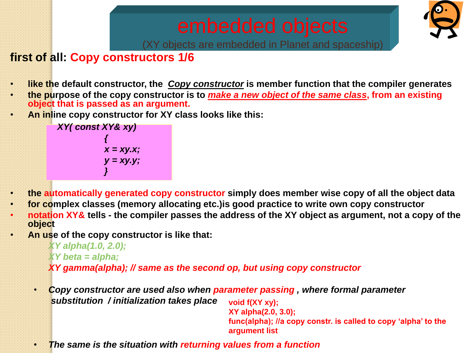

(XY objects are embedded in Planet and spaceship)

# **first of all: Copy constructors 1/6**

- **like the default constructor, the** *Copy constructor* **is member function that the compiler generates**
- **the purpose of the copy constructor is to** *make a new object of the same class***, from an existing object that is passed as an argument.**
- **An inline copy constructor for XY class looks like this:**

*XY( const XY& xy) { x = xy.x; y = xy.y; }*

- **the automatically generated copy constructor simply does member wise copy of all the object data**
- **for complex classes (memory allocating etc.)is good practice to write own copy constructor**
- **notation XY& tells - the compiler passes the address of the XY object as argument, not a copy of the object**
- **An use of the copy constructor is like that:**

*XY alpha(1.0, 2.0); XY beta = alpha; XY gamma(alpha); // same as the second op, but using copy constructor*

• *Copy constructor are used also when parameter passing , where formal parameter substitution / initialization takes place* **void f(XY xy);**

**XY alpha(2.0, 3.0); func(alpha); //a copy constr. is called to copy 'alpha' to the argument list**

• *The same is the situation with returning values from a function*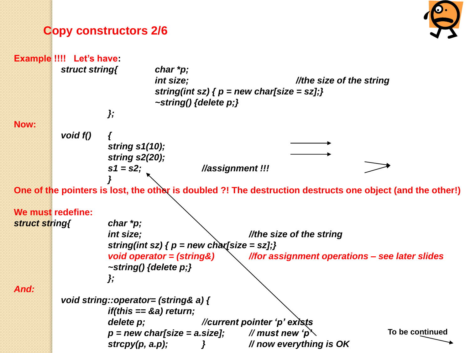## **Copy constructors 2/6**



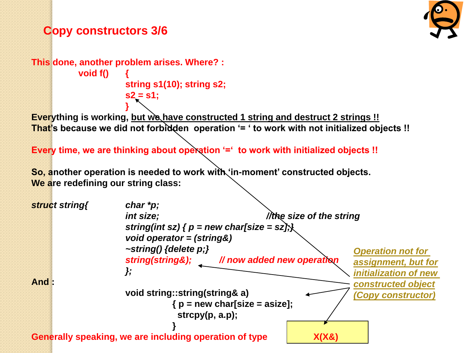## **Copy constructors 3/6**

```
This done, another problem arises. Where? : 
           void f() {
                       string s1(10); string s2;
                       s2 = s1;
```
**} Everything is working, but we have constructed 1 string and destruct 2 strings !! That's because we did not forbidden operation '= ' to work with not initialized objects !!** 

**Every time, we are thinking about operation '=' to work with initialized objects !!**

**So, another operation is needed to work with 'in-moment' constructed objects. We are redefining our string class:**

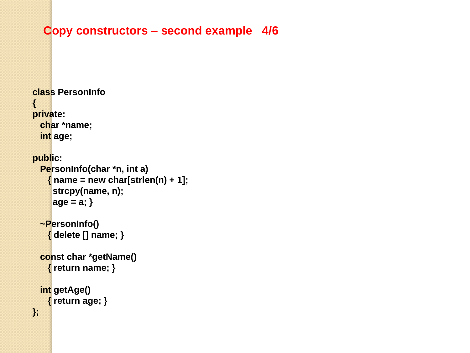### **Copy constructors – second example 4/6**

```
class PersonInfo
{
private:
   char *name;
   int age;
public:
   PersonInfo(char *n, int a)
    \{ name = new char[strlen(n) + 1];
      strcpy(name, n);
      age = a; }
   ~PersonInfo()
     { delete [] name; }
   const char *getName()
     { return name; }
   int getAge()
     { return age; }
};
```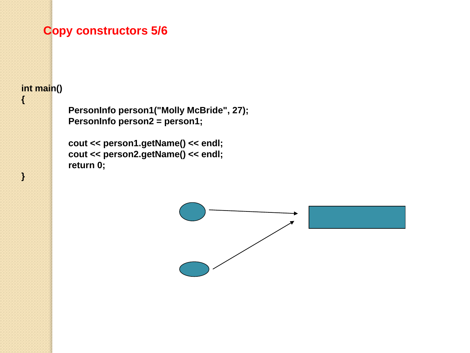### **Copy constructors 5/6**

### **int main()**

**{**

**}**

**PersonInfo person1("Molly McBride", 27); PersonInfo person2 = person1;**

**cout << person1.getName() << endl; cout << person2.getName() << endl; return 0;**

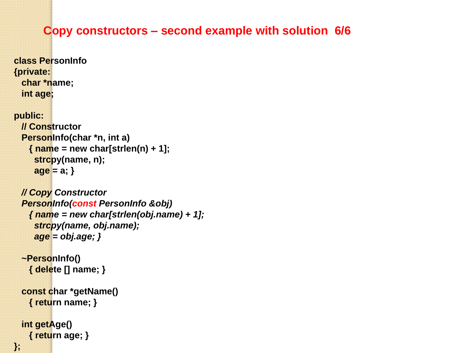### **Copy constructors – second example with solution 6/6**

**class PersonInfo {private: char \*name; int age;**

#### **public:**

```
 // Constructor
 PersonInfo(char *n, int a)
   { name = new char[strlen(n) + 1];
    strcpy(name, n);
    age = a; }
```

```
 // Copy Constructor
 PersonInfo(const PersonInfo &obj)
   { name = new char[strlen(obj.name) + 1];
    strcpy(name, obj.name);
    age = obj.age; }
```

```
 ~PersonInfo()
   { delete [] name; }
```

```
 const char *getName()
  { return name; }
```

```
 int getAge()
   { return age; }
```
**};**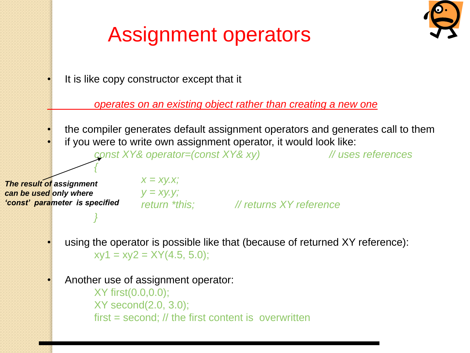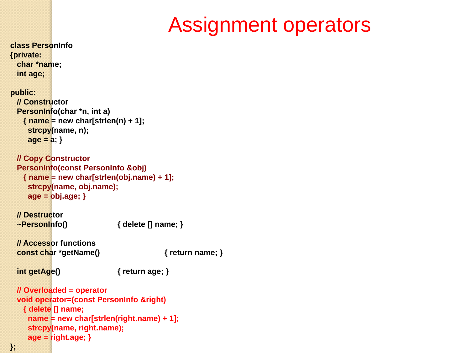# Assignment operators

```
class PersonInfo
{private:
  char *name;
  int age;
public:
  // Constructor
  PersonInfo(char *n, int a)
    { name = new char[strlen(n) + 1];
     strcpy(name, n);
     age = a; }
  // Copy Constructor
  PersonInfo(const PersonInfo &obj)
    { name = new char[strlen(obj.name) + 1];
     strcpy(name, obj.name);
     age = obj.age; }
  // Destructor
  ~PersonInfo() { delete [] name; }
  // Accessor functions
  const char *getName() { return name; }
  int getAge() { return age; }
  // Overloaded = operator
  void operator=(const PersonInfo &right)
    { delete [] name;
     name = new char[strlen(right.name) + 1];
     strcpy(name, right.name);
     age = right.age; }
```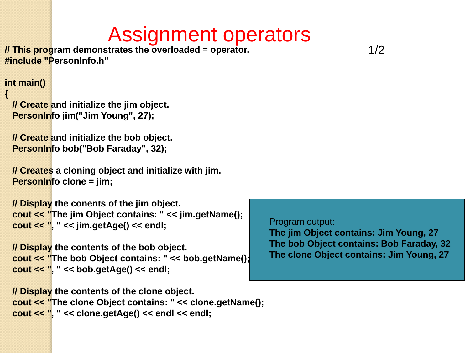# Assignment operators

**// This program demonstrates the overloaded = operator. #include "PersonInfo.h"**

#### **int main()**

**{**

```
 // Create and initialize the jim object.
 PersonInfo jim("Jim Young", 27);
```

```
 // Create and initialize the bob object.
 PersonInfo bob("Bob Faraday", 32);
```

```
 // Creates a cloning object and initialize with jim.
 PersonInfo clone = jim;
```

```
 // Display the conents of the jim object.
 cout << "The jim Object contains: " << jim.getName();
 cout << ", " << jim.getAge() << endl;
```

```
 // Display the contents of the bob object.
 cout << "The bob Object contains: " << bob.getName();
 cout << ", " << bob.getAge() << endl;
```
Program output: **The jim Object contains: Jim Young, 27 The bob Object contains: Bob Faraday, 32 The clone Object contains: Jim Young, 27**

 **// Display the contents of the clone object. cout << "The clone Object contains: " << clone.getName(); cout << ", " << clone.getAge() << endl << endl;**

1/2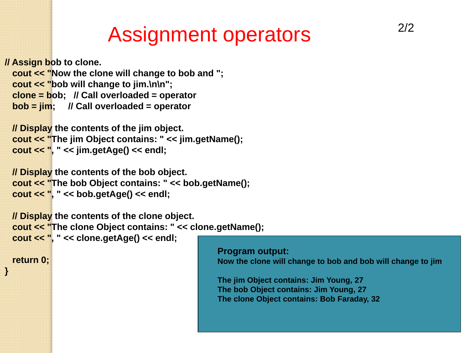# Assignment operators

```
// Assign bob to clone.
   cout << "Now the clone will change to bob and ";
   cout << "bob will change to jim.\n\n";
   clone = bob; // Call overloaded = operator
   bob = jim; // Call overloaded = operator
  // Display the contents of the jim object.
   cout << "The jim Object contains: " << jim.getName();
   cout << ", " << jim.getAge() << endl;
  // Display the contents of the bob object.
   cout << "The bob Object contains: " << bob.getName();
   cout << ", " << bob.getAge() << endl;
  // Display the contents of the clone object.
   cout << "The clone Object contains: " << clone.getName();
   cout << ", " << clone.getAge() << endl;
  return 0;
}
                                                    Program output:
                                                    Now the clone will change to bob and bob will change to jim
                                                    The jim Object contains: Jim Young, 27
                                                    The bob Object contains: Jim Young, 27
                                                    The clone Object contains: Bob Faraday, 32
```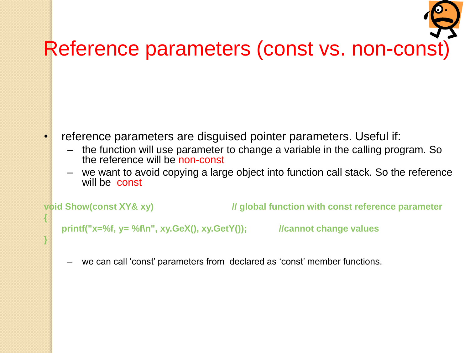

- reference parameters are disguised pointer parameters. Useful if:
	- the function will use parameter to change a variable in the calling program. So the reference will be non-const
	- we want to avoid copying a large object into function call stack. So the reference will be const

**{**

**}**

**void Show(const XY& xy) // global function with const reference parameter**

**printf("x=%f, y= %f\n", xy.GeX(), xy.GetY()); //cannot change values**

– we can call 'const' parameters from declared as 'const' member functions.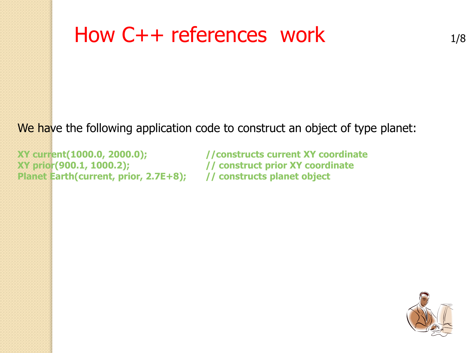# How  $C++$  references work  $_{1/8}$

We have the following application code to construct an object of type planet:

**XY current(1000.0, 2000.0); //constructs current XY coordinate XY prior(900.1, 1000.2); // construct prior XY coordinate Planet Earth(current, prior, 2.7E+8); // constructs planet object**

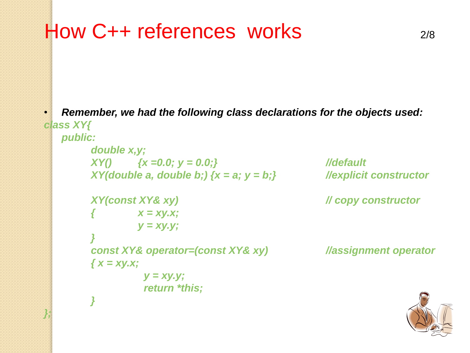```
How C++ references works 2/8
```
*};*

• *Remember, we had the following class declarations for the objects used: class XY{*

```
public:
    double x,y;
    XY() {x =0.0; y = 0.0;} //default
    XY(double a, double b;) {x = a; y = b;} //explicit constructor
    XY(const XY& xy) // copy constructor
            { x = xy.x;
            y = xy.y;
     }
    const XY& operator=(const XY& xy) //assignment operator
    { x = xy.x;
              y = xy.y;
              return *this;
    }
```
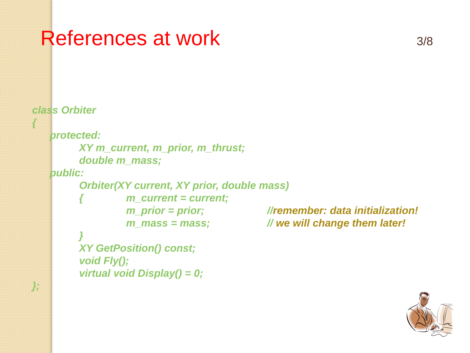# References at work 3/8

```
class Orbiter
{
   protected:
         XY m_current, m_prior, m_thrust;
         double m_mass;
   public:
         Orbiter(XY current, XY prior, double mass)
                  { m_current = current;
                  m_prior = prior; //remember: data initialization!
                  m_mass = mass; // we will change them later!
         }
         XY GetPosition() const;
         void Fly();
         virtual void Display() = 0;
};
```
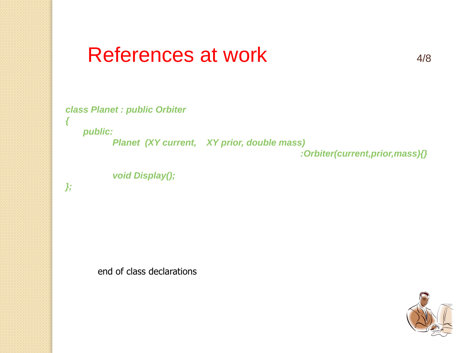# References at work 4/8

```
class Planet : public Orbiter
{
```
*public:*

*Planet (XY current, XY prior, double mass)* 

*:Orbiter(current,prior,mass){}*

```
void Display();
```
*};*

end of class declarations

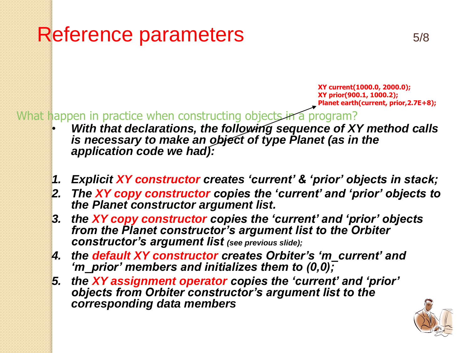# Reference parameters 5/8

**XY current(1000.0, 2000.0); XY prior(900.1, 1000.2); Planet earth(current, prior,2.7E+8);**

What happen in practice when constructing objects in a program?

- *With that declarations, the following sequence of XY method calls is necessary to make an object of type Planet (as in the application code we had):*
- *1. Explicit XY constructor creates 'current' & 'prior' objects in stack;*
- *2. The XY copy constructor copies the 'current' and 'prior' objects to the Planet constructor argument list.*
- *3. the XY copy constructor copies the 'current' and 'prior' objects from the Planet constructor's argument list to the Orbiter constructor's argument list (see previous slide);*
- *4. the default XY constructor creates Orbiter's 'm\_current' and 'm\_prior' members and initializes them to (0,0);*
- *5. the XY assignment operator copies the 'current' and 'prior' objects from Orbiter constructor's argument list to the corresponding data members*

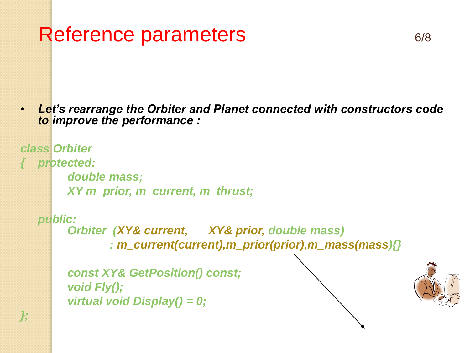# Reference parameters 6/8

• *Let's rearrange the Orbiter and Planet connected with constructors code to improve the performance :*

```
class Orbiter
{ protected:
        double mass;
        XY m_prior, m_current, m_thrust;
```

```
public:
     Orbiter (XY& current, XY& prior, double mass)
             : m_current(current),m_prior(prior),m_mass(mass){}
```

```
const XY& GetPosition() const;
void Fly();
virtual void Display() = 0;
```
*};*

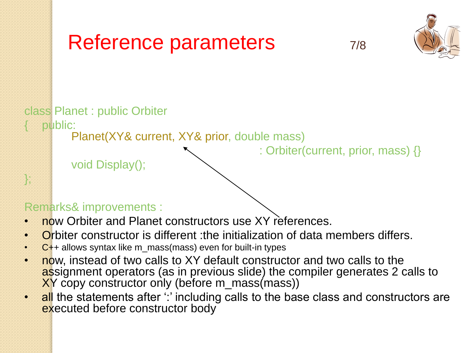

### Remarks& improvements :

- now Orbiter and Planet constructors use XY references.
- Orbiter constructor is different : the initialization of data members differs.
- $\cdot$  C++ allows syntax like m\_mass(mass) even for built-in types
- now, instead of two calls to XY default constructor and two calls to the assignment operators (as in previous slide) the compiler generates 2 calls to XY copy constructor only (before m\_mass(mass))
- all the statements after " including calls to the base class and constructors are executed before constructor body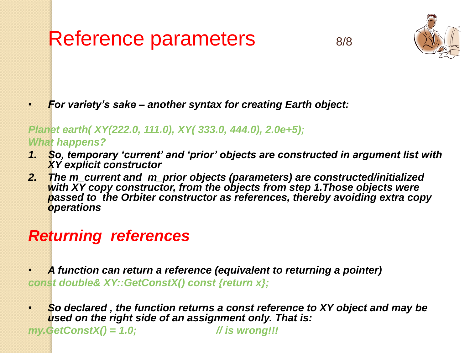# Reference parameters 8/8





• *For variety's sake – another syntax for creating Earth object:*

#### *Planet earth( XY(222.0, 111.0), XY( 333.0, 444.0), 2.0e+5); What happens?*

- *1. So, temporary 'current' and 'prior' objects are constructed in argument list with XY explicit constructor*
- *2. The m\_current and m\_prior objects (parameters) are constructed/initialized with XY copy constructor, from the objects from step 1.Those objects were passed to the Orbiter constructor as references, thereby avoiding extra copy operations*

# *Returning references*

- *A function can return a reference (equivalent to returning a pointer) const double& XY::GetConstX() const {return x};*
- *So declared , the function returns a const reference to XY object and may be used on the right side of an assignment only. That is:*

*my.GetConstX() = 1.0; // is wrong!!!*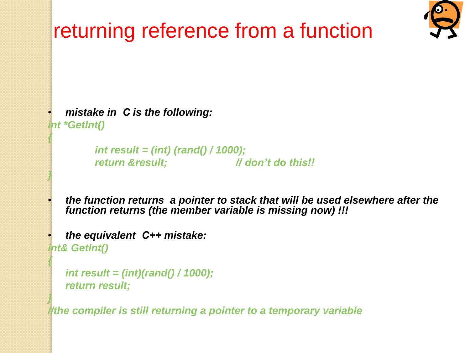

```
• mistake in С is the following:
int *GetInt()
```
*{*

*}*

*{*

*}*

```
int result = (int) (rand() / 1000);
return &result; // don't do this!!
```
• *the function returns a pointer to stack that will be used elsewhere after the function returns (the member variable is missing now) !!!*

• *the equivalent С++ mistake: int& GetInt()*

```
int result = (int)(rand() / 1000);
return result;
```
*//the compiler is still returning a pointer to a temporary variable*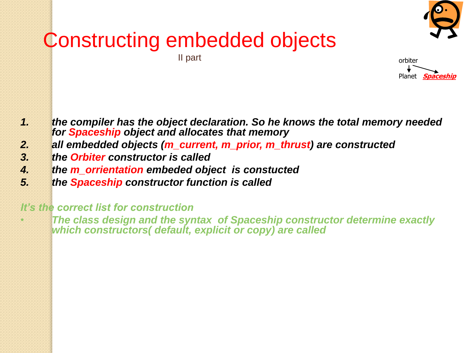

# Constructing embedded objects



- *1. the compiler has the object declaration. So he knows the total memory needed for Spaceship object and allocates that memory*
- *2. all embedded objects (m\_current, m\_prior, m\_thrust) are constructed*
- *3. the Orbiter constructor is called*
- *4. the m\_orrientation embeded object is constucted*
- *5. the Spaceship constructor function is called*

#### *It's the correct list for construction*

• *The class design and the syntax of Spaceship constructor determine exactly which constructors( default, explicit or copy) are called*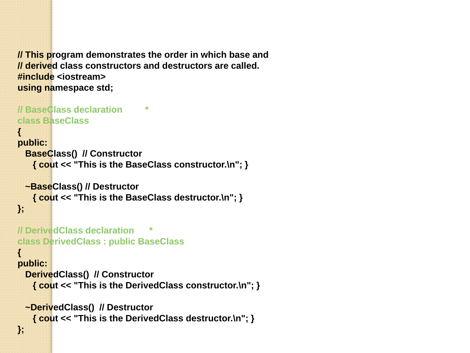**// This program demonstrates the order in which base and // derived class constructors and destructors are called. #include <iostream> using namespace std;**

```
// BaseClass declaration *
class BaseClass
{
public:
  BaseClass() // Constructor
    { cout << "This is the BaseClass constructor.\n"; }
  ~BaseClass() // Destructor
    { cout << "This is the BaseClass destructor.\n"; }
};
// DerivedClass declaration *
class DerivedClass : public BaseClass
{
public:
  DerivedClass() // Constructor
    { cout << "This is the DerivedClass constructor.\n"; }
  ~DerivedClass() // Destructor
    { cout << "This is the DerivedClass destructor.\n"; }
```
**};**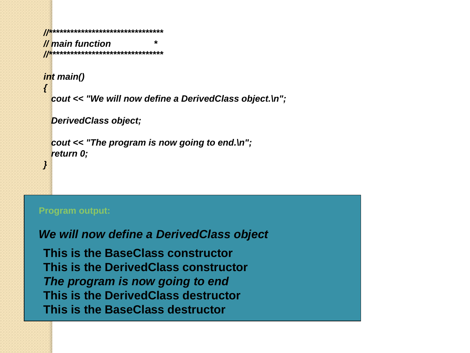```
//********************************
// main function *
//********************************
int main()
{
  cout << "We will now define a DerivedClass object.\n";
   DerivedClass object;
  cout << "The program is now going to end.\n";
  return 0;
```
#### **Program output:**

*}*

#### *We will now define a DerivedClass object*

**This is the BaseClass constructor This is the DerivedClass constructor** *The program is now going to end* **This is the DerivedClass destructor This is the BaseClass destructor**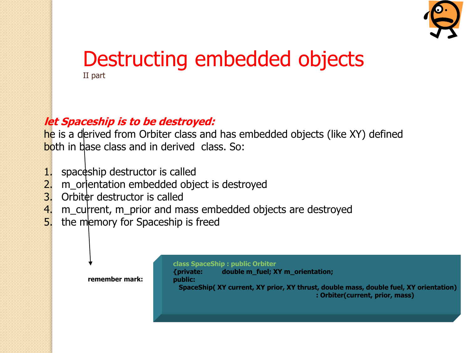

# Destructing embedded objects II part

### **let Spaceship is to be destroyed:**

he is a derived from Orbiter class and has embedded objects (like XY) defined both in base class and in derived class. So:

- 1. spaceship destructor is called
- 2. m\_orientation embedded object is destroyed
- 3. Orbiter destructor is called
- 4. m\_current, m\_prior and mass embedded objects are destroyed
- 5. the memory for Spaceship is freed



#### **class SpaceShip : public Orbiter**

**{private: double m\_fuel; XY m\_orientation; public: SpaceShip( XY current, XY prior, XY thrust, double mass, double fuel, XY orientation) : Orbiter(current, prior, mass)**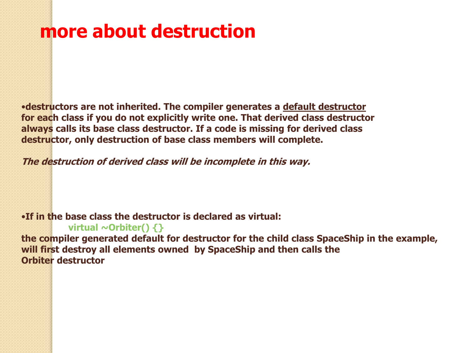# **more about destruction**

•**destructors are not inherited. The compiler generates a default destructor for each class if you do not explicitly write one. That derived class destructor always calls its base class destructor. If a code is missing for derived class destructor, only destruction of base class members will complete.** 

**The destruction of derived class will be incomplete in this way.**

•**If in the base class the destructor is declared as virtual:**

**virtual ~Orbiter() {} the compiler generated default for destructor for the child class SpaceShip in the example, will first destroy all elements owned by SpaceShip and then calls the Orbiter destructor**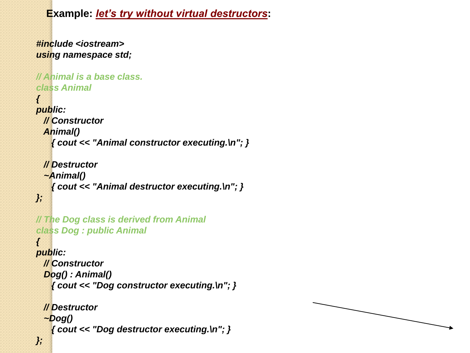**Example:** *let's try without virtual destructors***:**

```
#include <iostream>
using namespace std;
// Animal is a base class.
class Animal
{
public:
  // Constructor
  Animal()
    { cout << "Animal constructor executing.\n"; }
  // Destructor
   ~Animal()
    { cout << "Animal destructor executing.\n"; }
};
// The Dog class is derived from Animal
class Dog : public Animal
{
public:
  // Constructor
   Dog() : Animal()
    { cout << "Dog constructor executing.\n"; }
  // Destructor
   ~Dog()
    { cout << "Dog destructor executing.\n"; }
};
```
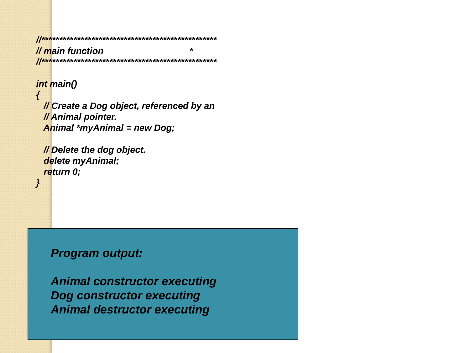*//\*\*\*\*\*\*\*\*\*\*\*\*\*\*\*\*\*\*\*\*\*\*\*\*\*\*\*\*\*\*\*\*\*\*\*\*\*\*\*\*\*\*\*\*\*\*\*\*\* // main function \* //\*\*\*\*\*\*\*\*\*\*\*\*\*\*\*\*\*\*\*\*\*\*\*\*\*\*\*\*\*\*\*\*\*\*\*\*\*\*\*\*\*\*\*\*\*\*\*\*\**

*int main()*

*{*

*}*

 *// Create a Dog object, referenced by an // Animal pointer. Animal \*myAnimal = new Dog;*

 *// Delete the dog object. delete myAnimal; return 0;*

*Program output:*

*Animal constructor executing Dog constructor executing Animal destructor executing*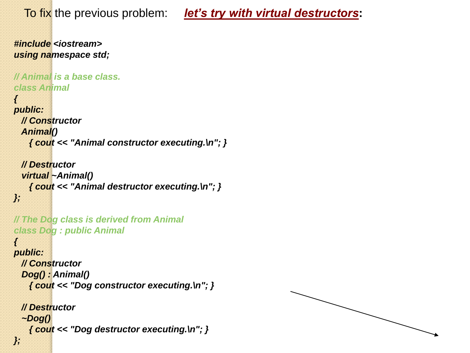To fix the previous problem: *let's try with virtual destructors***:**

```
#include <iostream>
using namespace std;
// Animal is a base class.
class Animal
{
public:
  // Constructor
  Animal()
    { cout << "Animal constructor executing.\n"; }
  // Destructor
   virtual ~Animal()
    { cout << "Animal destructor executing.\n"; }
};
// The Dog class is derived from Animal
class Dog : public Animal
{
public:
  // Constructor
   Dog() : Animal()
    { cout << "Dog constructor executing.\n"; }
  // Destructor
   ~Dog()
    { cout << "Dog destructor executing.\n"; }
};
```
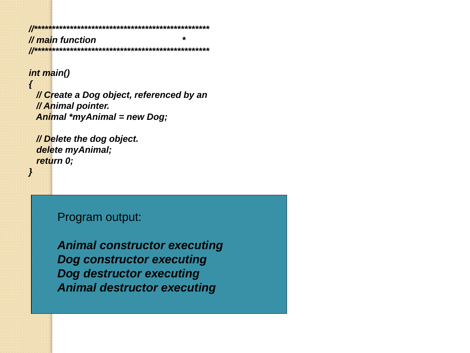*//\*\*\*\*\*\*\*\*\*\*\*\*\*\*\*\*\*\*\*\*\*\*\*\*\*\*\*\*\*\*\*\*\*\*\*\*\*\*\*\*\*\*\*\*\*\*\*\*\* // main function \* //\*\*\*\*\*\*\*\*\*\*\*\*\*\*\*\*\*\*\*\*\*\*\*\*\*\*\*\*\*\*\*\*\*\*\*\*\*\*\*\*\*\*\*\*\*\*\*\*\**

#### *int main()*

*{*

*}*

 *// Create a Dog object, referenced by an // Animal pointer. Animal \*myAnimal = new Dog;*

 *// Delete the dog object. delete myAnimal; return 0;*

Program output:

*Animal constructor executing Dog constructor executing Dog destructor executing Animal destructor executing*